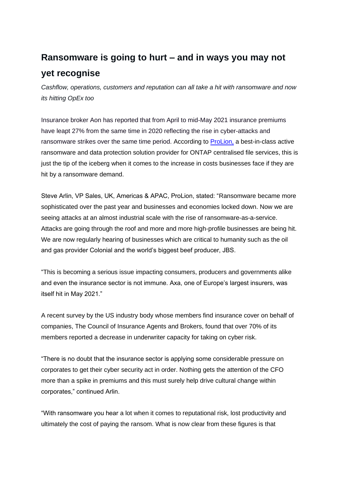## **Ransomware is going to hurt – and in ways you may not yet recognise**

*Cashflow, operations, customers and reputation can all take a hit with ransomware and now its hitting OpEx too*

Insurance broker Aon has reported that from April to mid-May 2021 insurance premiums have leapt 27% from the same time in 2020 reflecting the rise in cyber-attacks and ransomware strikes over the same time period. According to [ProLion,](https://prolion.com/) a best-in-class active ransomware and data protection solution provider for ONTAP centralised file services, this is just the tip of the iceberg when it comes to the increase in costs businesses face if they are hit by a ransomware demand.

Steve Arlin, VP Sales, UK, Americas & APAC, ProLion, stated: "Ransomware became more sophisticated over the past year and businesses and economies locked down. Now we are seeing attacks at an almost industrial scale with the rise of ransomware-as-a-service. Attacks are going through the roof and more and more high-profile businesses are being hit. We are now regularly hearing of businesses which are critical to humanity such as the oil and gas provider Colonial and the world's biggest beef producer, JBS.

"This is becoming a serious issue impacting consumers, producers and governments alike and even the insurance sector is not immune. Axa, one of Europe's largest insurers, was itself hit in May 2021."

A recent survey by the US industry body whose members find insurance cover on behalf of companies, The Council of Insurance Agents and Brokers, found that over 70% of its members reported a decrease in underwriter capacity for taking on cyber risk.

"There is no doubt that the insurance sector is applying some considerable pressure on corporates to get their cyber security act in order. Nothing gets the attention of the CFO more than a spike in premiums and this must surely help drive cultural change within corporates," continued Arlin.

"With ransomware you hear a lot when it comes to reputational risk, lost productivity and ultimately the cost of paying the ransom. What is now clear from these figures is that